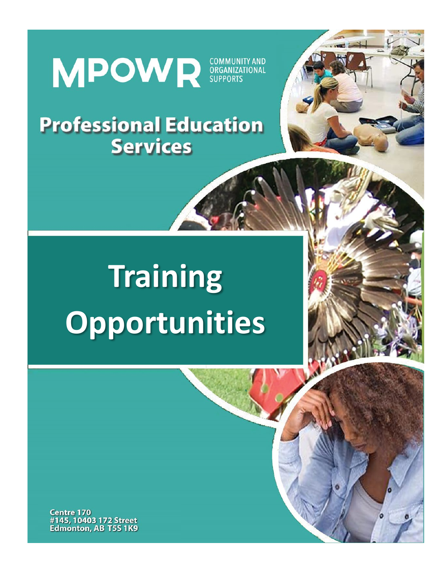# MPOWR SUPPORTS

# **Professional Education Services**



# **Training Opportunities**

**Centre 170** #145, 10403 172 Street **Edmonton, AB T5S 1K9**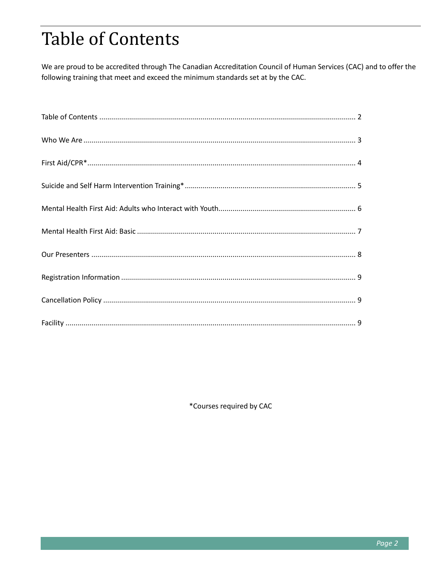# **Table of Contents**

We are proud to be accredited through The Canadian Accreditation Council of Human Services (CAC) and to offer the following training that meet and exceed the minimum standards set at by the CAC.

\*Courses required by CAC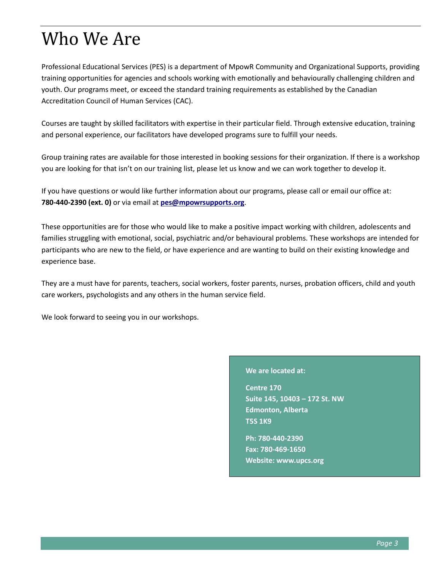# Who We Are

Professional Educational Services (PES) is a department of MpowR Community and Organizational Supports, providing training opportunities for agencies and schools working with emotionally and behaviourally challenging children and youth. Our programs meet, or exceed the standard training requirements as established by the Canadian Accreditation Council of Human Services (CAC).

Courses are taught by skilled facilitators with expertise in their particular field. Through extensive education, training and personal experience, our facilitators have developed programs sure to fulfill your needs.

Group training rates are available for those interested in booking sessions for their organization. If there is a workshop you are looking for that isn't on our training list, please let us know and we can work together to develop it.

If you have questions or would like further information about our programs, please call or email our office at: **780-440-2390 (ext. 0)** or via email at **[pes@mpowrsupports.org](mailto:pes@mpowrsupports.org)**.

These opportunities are for those who would like to make a positive impact working with children, adolescents and families struggling with emotional, social, psychiatric and/or behavioural problems. These workshops are intended for participants who are new to the field, or have experience and are wanting to build on their existing knowledge and experience base.

They are a must have for parents, teachers, social workers, foster parents, nurses, probation officers, child and youth care workers, psychologists and any others in the human service field.

We look forward to seeing you in our workshops.

#### **We are located at:**

**Centre 170 Suite 145, 10403 – 172 St. NW Edmonton, Alberta T5S 1K9**

**Ph: 780-440-2390 Fax: 780-469-1650 Website: www.upcs.org**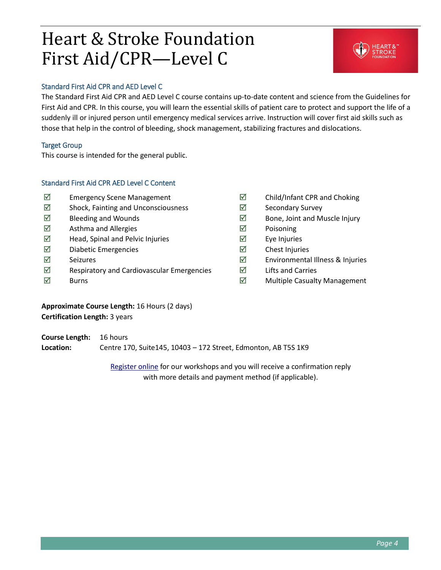### Heart & Stroke Foundation First Aid/CPR—Level C



### Standard First Aid CPR and AED Level C

The Standard First Aid CPR and AED Level C course contains up-to-date content and science from the Guidelines for First Aid and CPR. In this course, you will learn the essential skills of patient care to protect and support the life of a suddenly ill or injured person until emergency medical services arrive. Instruction will cover first aid skills such as those that help in the control of bleeding, shock management, stabilizing fractures and dislocations.

### Target Group

This course is intended for the general public.

### Standard First Aid CPR AED Level C Content

- $\boxtimes$  Emergency Scene Management
- $\boxtimes$  Shock, Fainting and Unconsciousness
- $\boxtimes$  Bleeding and Wounds
- $\boxtimes$  Asthma and Allergies
- $\boxtimes$  Head, Spinal and Pelvic Injuries
- $\nabla$  Diabetic Emergencies
- $\nabla$  Seizures
- $\boxtimes$  Respiratory and Cardiovascular Emergencies
- $\boxtimes$  Burns
- $\boxtimes$  Child/Infant CPR and Choking
- $\boxtimes$  Secondary Survey
- $\boxtimes$  Bone, Joint and Muscle Injury
- $\boxtimes$  Poisoning
- $\boxtimes$  Eye Injuries
- $\boxtimes$  Chest Injuries
- $\boxtimes$  Environmental Illness & Injuries
- $\boxtimes$  Lifts and Carries
- $\boxtimes$  Multiple Casualty Management

### **Approximate Course Length:** 16 Hours (2 days) **Certification Length:** 3 years

**Course Length:** 16 hours **Location:** Centre 170, Suite145, 10403 – 172 Street, Edmonton, AB T5S 1K9

> [Register online](http://upcs.org/services/professional-training-services/) for our workshops and you will receive a confirmation reply with more details and payment method (if applicable).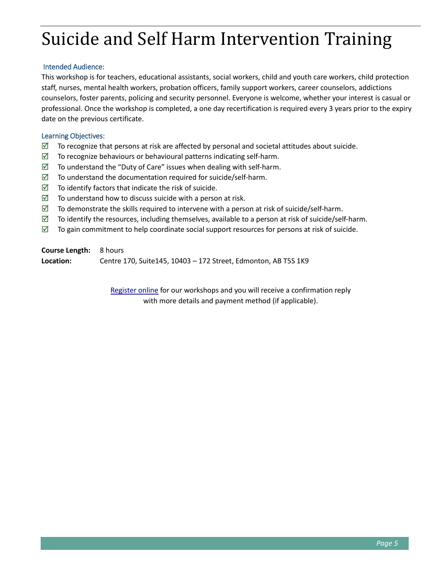# Suicide and Self Harm Intervention Training

### Intended Audience:

This workshop is for teachers, educational assistants, social workers, child and youth care workers, child protection staff, nurses, mental health workers, probation officers, family support workers, career counselors, addictions counselors, foster parents, policing and security personnel. Everyone is welcome, whether your interest is casual or professional. Once the workshop is completed, a one day recertification is required every 3 years prior to the expiry date on the previous certificate.

### Learning Objectives:

- $\boxtimes$  To recognize that persons at risk are affected by personal and societal attitudes about suicide.
- $\boxtimes$  To recognize behaviours or behavioural patterns indicating self-harm.
- $\boxtimes$  To understand the "Duty of Care" issues when dealing with self-harm.
- $\boxtimes$  To understand the documentation required for suicide/self-harm.
- $\triangledown$  To identify factors that indicate the risk of suicide.
- $\triangledown$  To understand how to discuss suicide with a person at risk.
- $\boxtimes$  To demonstrate the skills required to intervene with a person at risk of suicide/self-harm.
- $\boxtimes$  To identify the resources, including themselves, available to a person at risk of suicide/self-harm.
- $\boxtimes$  To gain commitment to help coordinate social support resources for persons at risk of suicide.

**Course Length:** 8 hours **Location:** Centre 170, Suite145, 10403 – 172 Street, Edmonton, AB T5S 1K9

> [Register online](http://upcs.org/services/professional-training-services/) for our workshops and you will receive a confirmation reply with more details and payment method (if applicable).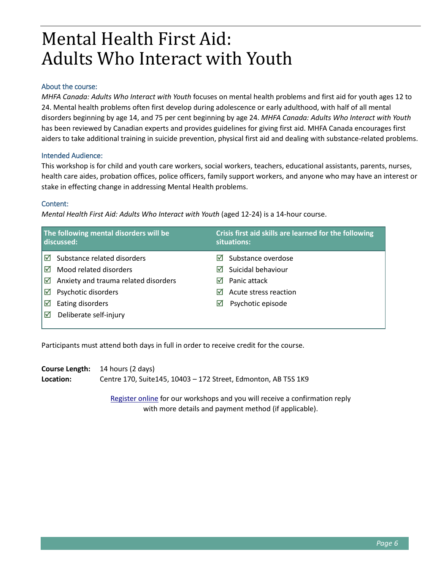### Mental Health First Aid: Adults Who Interact with Youth

### About the course:

*MHFA Canada: Adults Who Interact with Youth* focuses on mental health problems and first aid for youth ages 12 to 24. Mental health problems often first develop during adolescence or early adulthood, with half of all mental disorders beginning by age 14, and 75 per cent beginning by age 24. *MHFA Canada: Adults Who Interact with Youth*  has been reviewed by Canadian experts and provides guidelines for giving first aid. MHFA Canada encourages first aiders to take additional training in suicide prevention, physical first aid and dealing with substance-related problems.

### Intended Audience:

This workshop is for child and youth care workers, social workers, teachers, educational assistants, parents, nurses, health care aides, probation offices, police officers, family support workers, and anyone who may have an interest or stake in effecting change in addressing Mental Health problems.

### Content:

*Mental Health First Aid: Adults Who Interact with Youth* (aged 12-24) is a 14-hour course.

| The following mental disorders will be<br>discussed: |                                      | Crisis first aid skills are learned for the following<br>situations: |  |
|------------------------------------------------------|--------------------------------------|----------------------------------------------------------------------|--|
| ⊠                                                    | Substance related disorders          | Substance overdose<br>$\overline{\mathsf{v}}$                        |  |
| ∣⊠                                                   | Mood related disorders               | Suicidal behaviour<br>М                                              |  |
|                                                      | Anxiety and trauma related disorders | Panic attack<br>⋈                                                    |  |
| ⊠                                                    | Psychotic disorders                  | Acute stress reaction<br>⋈                                           |  |
| ⊠                                                    | Eating disorders                     | Psychotic episode<br>☑                                               |  |
| ⊠                                                    | Deliberate self-injury               |                                                                      |  |
|                                                      |                                      |                                                                      |  |

Participants must attend both days in full in order to receive credit for the course.

|           | <b>Course Length:</b> 14 hours (2 days)                         |
|-----------|-----------------------------------------------------------------|
| Location: | Centre 170, Suite 145, 10403 - 172 Street, Edmonton, AB T5S 1K9 |

[Register online](http://upcs.org/services/professional-training-services/) for our workshops and you will receive a confirmation reply with more details and payment method (if applicable).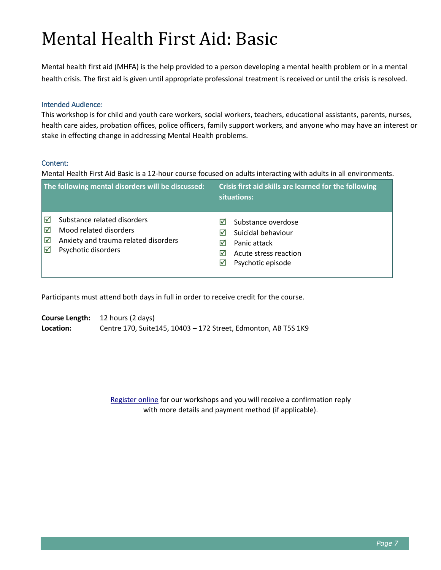## Mental Health First Aid: Basic

Mental health first aid (MHFA) is the help provided to a person developing a mental health problem or in a mental health crisis. The first aid is given until appropriate professional treatment is received or until the crisis is resolved.

### Intended Audience:

This workshop is for child and youth care workers, social workers, teachers, educational assistants, parents, nurses, health care aides, probation offices, police officers, family support workers, and anyone who may have an interest or stake in effecting change in addressing Mental Health problems.

### Content:

Mental Health First Aid Basic is a 12-hour course focused on adults interacting with adults in all environments.

|                   | The following mental disorders will be discussed:                                                                    |                                  | Crisis first aid skills are learned for the following<br>situations:                                   |
|-------------------|----------------------------------------------------------------------------------------------------------------------|----------------------------------|--------------------------------------------------------------------------------------------------------|
| ⊠<br>☑<br>।⊠<br>⊠ | Substance related disorders<br>Mood related disorders<br>Anxiety and trauma related disorders<br>Psychotic disorders | M<br>M<br>M<br>M<br>$\mathsf{M}$ | Substance overdose<br>Suicidal behaviour<br>Panic attack<br>Acute stress reaction<br>Psychotic episode |

Participants must attend both days in full in order to receive credit for the course.

**Course Length:** 12 hours (2 days) **Location:** Centre 170, Suite145, 10403 – 172 Street, Edmonton, AB T5S 1K9

> [Register online](http://upcs.org/services/professional-training-services/) for our workshops and you will receive a confirmation reply with more details and payment method (if applicable).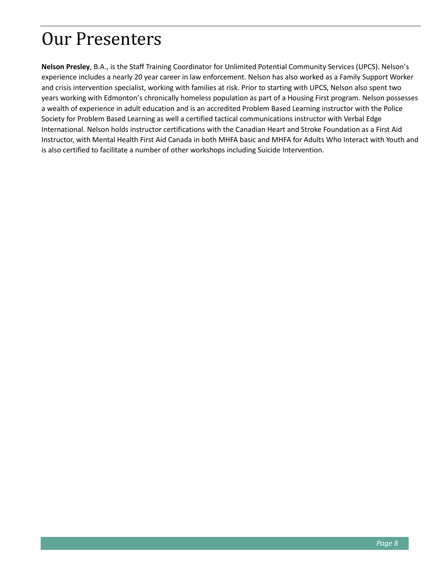### Our Presenters

**Nelson Presley**, B.A., is the Staff Training Coordinator for Unlimited Potential Community Services (UPCS). Nelson's experience includes a nearly 20 year career in law enforcement. Nelson has also worked as a Family Support Worker and crisis intervention specialist, working with families at risk. Prior to starting with UPCS, Nelson also spent two years working with Edmonton's chronically homeless population as part of a Housing First program. Nelson possesses a wealth of experience in adult education and is an accredited Problem Based Learning instructor with the Police Society for Problem Based Learning as well a certified tactical communications instructor with Verbal Edge International. Nelson holds instructor certifications with the Canadian Heart and Stroke Foundation as a First Aid Instructor, with Mental Health First Aid Canada in both MHFA basic and MHFA for Adults Who Interact with Youth and is also certified to facilitate a number of other workshops including Suicide Intervention.